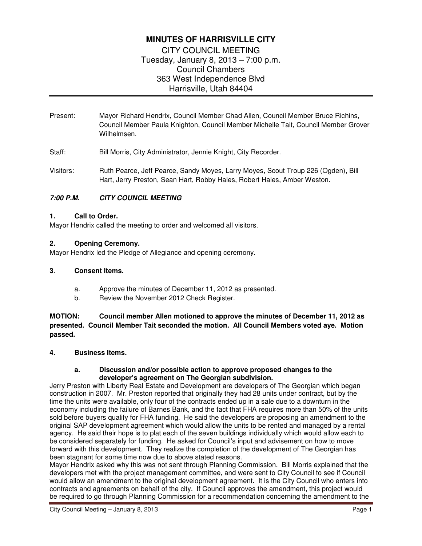# **MINUTES OF HARRISVILLE CITY**

CITY COUNCIL MEETING Tuesday, January 8, 2013 – 7:00 p.m. Council Chambers 363 West Independence Blvd Harrisville, Utah 84404

Present: Mayor Richard Hendrix, Council Member Chad Allen, Council Member Bruce Richins, Council Member Paula Knighton, Council Member Michelle Tait, Council Member Grover Wilhelmsen.

Staff: Bill Morris, City Administrator, Jennie Knight, City Recorder.

Visitors: Ruth Pearce, Jeff Pearce, Sandy Moyes, Larry Moyes, Scout Troup 226 (Ogden), Bill Hart, Jerry Preston, Sean Hart, Robby Hales, Robert Hales, Amber Weston.

## **7:00 P.M. CITY COUNCIL MEETING**

## **1. Call to Order.**

Mayor Hendrix called the meeting to order and welcomed all visitors.

## **2. Opening Ceremony.**

Mayor Hendrix led the Pledge of Allegiance and opening ceremony.

#### **3**. **Consent Items.**

- a. Approve the minutes of December 11, 2012 as presented.
- b. Review the November 2012 Check Register.

**MOTION: Council member Allen motioned to approve the minutes of December 11, 2012 as presented. Council Member Tait seconded the motion. All Council Members voted aye. Motion passed.** 

#### **4. Business Items.**

#### **a. Discussion and/or possible action to approve proposed changes to the developer's agreement on The Georgian subdivision.**

Jerry Preston with Liberty Real Estate and Development are developers of The Georgian which began construction in 2007. Mr. Preston reported that originally they had 28 units under contract, but by the time the units were available, only four of the contracts ended up in a sale due to a downturn in the economy including the failure of Barnes Bank, and the fact that FHA requires more than 50% of the units sold before buyers qualify for FHA funding. He said the developers are proposing an amendment to the original SAP development agreement which would allow the units to be rented and managed by a rental agency. He said their hope is to plat each of the seven buildings individually which would allow each to be considered separately for funding. He asked for Council's input and advisement on how to move forward with this development. They realize the completion of the development of The Georgian has been stagnant for some time now due to above stated reasons.

Mayor Hendrix asked why this was not sent through Planning Commission. Bill Morris explained that the developers met with the project management committee, and were sent to City Council to see if Council would allow an amendment to the original development agreement. It is the City Council who enters into contracts and agreements on behalf of the city. If Council approves the amendment, this project would be required to go through Planning Commission for a recommendation concerning the amendment to the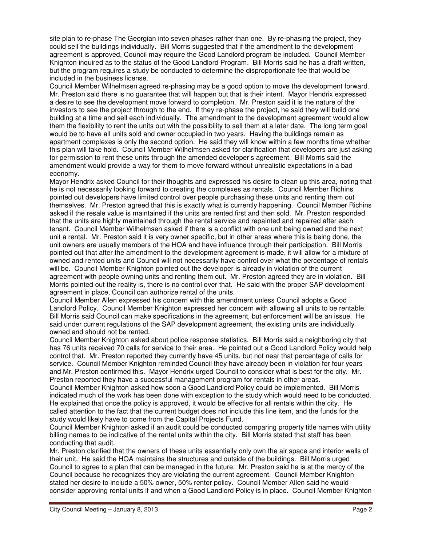site plan to re-phase The Georgian into seven phases rather than one. By re-phasing the project, they could sell the buildings individually. Bill Morris suggested that if the amendment to the development agreement is approved, Council may require the Good Landlord program be included. Council Member Knighton inquired as to the status of the Good Landlord Program. Bill Morris said he has a draft written, but the program requires a study be conducted to determine the disproportionate fee that would be included in the business license.

Council Member Wilhelmsen agreed re-phasing may be a good option to move the development forward. Mr. Preston said there is no guarantee that will happen but that is their intent. Mayor Hendrix expressed a desire to see the development move forward to completion. Mr. Preston said it is the nature of the investors to see the project through to the end. If they re-phase the project, he said they will build one building at a time and sell each individually. The amendment to the development agreement would allow them the flexibility to rent the units out with the possibility to sell them at a later date. The long term goal would be to have all units sold and owner occupied in two years. Having the buildings remain as apartment complexes is only the second option. He said they will know within a few months time whether this plan will take hold. Council Member Wilhelmsen asked for clarification that developers are just asking for permission to rent these units through the amended developer's agreement. Bill Morris said the amendment would provide a way for them to move forward without unrealistic expectations in a bad economy.

Mayor Hendrix asked Council for their thoughts and expressed his desire to clean up this area, noting that he is not necessarily looking forward to creating the complexes as rentals. Council Member Richins pointed out developers have limited control over people purchasing these units and renting them out themselves. Mr. Preston agreed that this is exactly what is currently happening. Council Member Richins asked if the resale value is maintained if the units are rented first and then sold. Mr. Preston responded that the units are highly maintained through the rental service and repainted and repaired after each tenant. Council Member Wilhelmsen asked if there is a conflict with one unit being owned and the next unit a rental. Mr. Preston said it is very owner specific, but in other areas where this is being done, the unit owners are usually members of the HOA and have influence through their participation. Bill Morris pointed out that after the amendment to the development agreement is made, it will allow for a mixture of owned and rented units and Council will not necessarily have control over what the percentage of rentals will be. Council Member Knighton pointed out the developer is already in violation of the current agreement with people owning units and renting them out. Mr. Preston agreed they are in violation. Bill Morris pointed out the reality is, there is no control over that. He said with the proper SAP development agreement in place, Council can authorize rental of the units.

Council Member Allen expressed his concern with this amendment unless Council adopts a Good Landlord Policy. Council Member Knighton expressed her concern with allowing all units to be rentable. Bill Morris said Council can make specifications in the agreement, but enforcement will be an issue. He said under current regulations of the SAP development agreement, the existing units are individually owned and should not be rented.

Council Member Knighton asked about police response statistics. Bill Morris said a neighboring city that has 76 units received 70 calls for service to their area. He pointed out a Good Landlord Policy would help control that. Mr. Preston reported they currently have 45 units, but not near that percentage of calls for service. Council Member Knighton reminded Council they have already been in violation for four years and Mr. Preston confirmed this. Mayor Hendrix urged Council to consider what is best for the city. Mr. Preston reported they have a successful management program for rentals in other areas.

Council Member Knighton asked how soon a Good Landlord Policy could be implemented. Bill Morris indicated much of the work has been done with exception to the study which would need to be conducted. He explained that once the policy is approved, it would be effective for all rentals within the city. He called attention to the fact that the current budget does not include this line item, and the funds for the study would likely have to come from the Capital Projects Fund.

Council Member Knighton asked if an audit could be conducted comparing property title names with utility billing names to be indicative of the rental units within the city. Bill Morris stated that staff has been conducting that audit.

Mr. Preston clarified that the owners of these units essentially only own the air space and interior walls of their unit. He said the HOA maintains the structures and outside of the buildings. Bill Morris urged Council to agree to a plan that can be managed in the future. Mr. Preston said he is at the mercy of the Council because he recognizes they are violating the current agreement. Council Member Knighton stated her desire to include a 50% owner, 50% renter policy. Council Member Allen said he would consider approving rental units if and when a Good Landlord Policy is in place. Council Member Knighton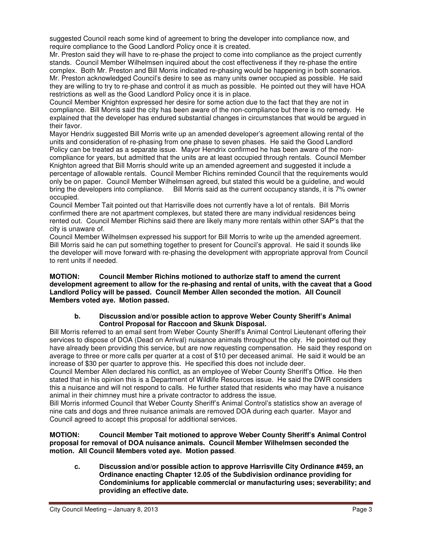suggested Council reach some kind of agreement to bring the developer into compliance now, and require compliance to the Good Landlord Policy once it is created.

Mr. Preston said they will have to re-phase the project to come into compliance as the project currently stands. Council Member Wilhelmsen inquired about the cost effectiveness if they re-phase the entire complex. Both Mr. Preston and Bill Morris indicated re-phasing would be happening in both scenarios. Mr. Preston acknowledged Council's desire to see as many units owner occupied as possible. He said they are willing to try to re-phase and control it as much as possible. He pointed out they will have HOA restrictions as well as the Good Landlord Policy once it is in place.

Council Member Knighton expressed her desire for some action due to the fact that they are not in compliance. Bill Morris said the city has been aware of the non-compliance but there is no remedy. He explained that the developer has endured substantial changes in circumstances that would be argued in their favor.

Mayor Hendrix suggested Bill Morris write up an amended developer's agreement allowing rental of the units and consideration of re-phasing from one phase to seven phases. He said the Good Landlord Policy can be treated as a separate issue. Mayor Hendrix confirmed he has been aware of the noncompliance for years, but admitted that the units are at least occupied through rentals. Council Member Knighton agreed that Bill Morris should write up an amended agreement and suggested it include a percentage of allowable rentals. Council Member Richins reminded Council that the requirements would only be on paper. Council Member Wilhelmsen agreed, but stated this would be a guideline, and would bring the developers into compliance. Bill Morris said as the current occupancy stands, it is 7% owner occupied.

Council Member Tait pointed out that Harrisville does not currently have a lot of rentals. Bill Morris confirmed there are not apartment complexes, but stated there are many individual residences being rented out. Council Member Richins said there are likely many more rentals within other SAP's that the city is unaware of.

Council Member Wilhelmsen expressed his support for Bill Morris to write up the amended agreement. Bill Morris said he can put something together to present for Council's approval. He said it sounds like the developer will move forward with re-phasing the development with appropriate approval from Council to rent units if needed.

#### **MOTION: Council Member Richins motioned to authorize staff to amend the current development agreement to allow for the re-phasing and rental of units, with the caveat that a Good Landlord Policy will be passed. Council Member Allen seconded the motion. All Council Members voted aye. Motion passed.**

## **b. Discussion and/or possible action to approve Weber County Sheriff's Animal Control Proposal for Raccoon and Skunk Disposal.**

Bill Morris referred to an email sent from Weber County Sheriff's Animal Control Lieutenant offering their services to dispose of DOA (Dead on Arrival) nuisance animals throughout the city. He pointed out they have already been providing this service, but are now requesting compensation. He said they respond on average to three or more calls per quarter at a cost of \$10 per deceased animal. He said it would be an increase of \$30 per quarter to approve this. He specified this does not include deer.

Council Member Allen declared his conflict, as an employee of Weber County Sheriff's Office. He then stated that in his opinion this is a Department of Wildlife Resources issue. He said the DWR considers this a nuisance and will not respond to calls. He further stated that residents who may have a nuisance animal in their chimney must hire a private contractor to address the issue.

Bill Morris informed Council that Weber County Sheriff's Animal Control's statistics show an average of nine cats and dogs and three nuisance animals are removed DOA during each quarter. Mayor and Council agreed to accept this proposal for additional services.

#### **MOTION: Council Member Tait motioned to approve Weber County Sheriff's Animal Control proposal for removal of DOA nuisance animals. Council Member Wilhelmsen seconded the motion. All Council Members voted aye. Motion passed**.

**c. Discussion and/or possible action to approve Harrisville City Ordinance #459, an Ordinance enacting Chapter 12.05 of the Subdivision ordinance providing for Condominiums for applicable commercial or manufacturing uses; severability; and providing an effective date.**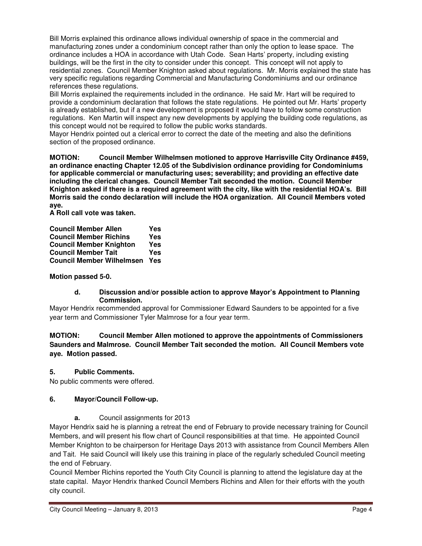Bill Morris explained this ordinance allows individual ownership of space in the commercial and manufacturing zones under a condominium concept rather than only the option to lease space. The ordinance includes a HOA in accordance with Utah Code. Sean Harts' property, including existing buildings, will be the first in the city to consider under this concept. This concept will not apply to residential zones. Council Member Knighton asked about regulations. Mr. Morris explained the state has very specific regulations regarding Commercial and Manufacturing Condominiums and our ordinance references these regulations.

Bill Morris explained the requirements included in the ordinance. He said Mr. Hart will be required to provide a condominium declaration that follows the state regulations. He pointed out Mr. Harts' property is already established, but if a new development is proposed it would have to follow some construction regulations. Ken Martin will inspect any new developments by applying the building code regulations, as this concept would not be required to follow the public works standards.

Mayor Hendrix pointed out a clerical error to correct the date of the meeting and also the definitions section of the proposed ordinance.

**MOTION: Council Member Wilhelmsen motioned to approve Harrisville City Ordinance #459, an ordinance enacting Chapter 12.05 of the Subdivision ordinance providing for Condominiums for applicable commercial or manufacturing uses; severability; and providing an effective date including the clerical changes. Council Member Tait seconded the motion. Council Member Knighton asked if there is a required agreement with the city, like with the residential HOA's. Bill Morris said the condo declaration will include the HOA organization. All Council Members voted aye.** 

**A Roll call vote was taken.** 

| <b>Council Member Allen</b>      | Yes |
|----------------------------------|-----|
| <b>Council Member Richins</b>    | Yes |
| <b>Council Member Knighton</b>   | Yes |
| <b>Council Member Tait</b>       | Yes |
| <b>Council Member Wilhelmsen</b> | Yes |

## **Motion passed 5-0.**

## **d. Discussion and/or possible action to approve Mayor's Appointment to Planning Commission.**

Mayor Hendrix recommended approval for Commissioner Edward Saunders to be appointed for a five year term and Commissioner Tyler Malmrose for a four year term.

**MOTION: Council Member Allen motioned to approve the appointments of Commissioners Saunders and Malmrose. Council Member Tait seconded the motion. All Council Members vote aye. Motion passed.** 

## **5. Public Comments.**

No public comments were offered.

## **6. Mayor/Council Follow-up.**

**a.** Council assignments for 2013

Mayor Hendrix said he is planning a retreat the end of February to provide necessary training for Council Members, and will present his flow chart of Council responsibilities at that time. He appointed Council Member Knighton to be chairperson for Heritage Days 2013 with assistance from Council Members Allen and Tait. He said Council will likely use this training in place of the regularly scheduled Council meeting the end of February.

Council Member Richins reported the Youth City Council is planning to attend the legislature day at the state capital. Mayor Hendrix thanked Council Members Richins and Allen for their efforts with the youth city council.